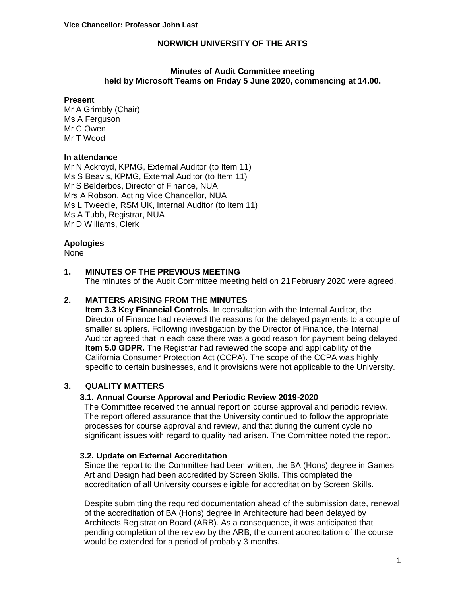### **Minutes of Audit Committee meeting held by Microsoft Teams on Friday 5 June 2020, commencing at 14.00.**

#### **Present**

Mr A Grimbly (Chair) Ms A Ferguson Mr C Owen Mr T Wood

#### **In attendance**

Mr N Ackroyd, KPMG, External Auditor (to Item 11) Ms S Beavis, KPMG, External Auditor (to Item 11) Mr S Belderbos, Director of Finance, NUA Mrs A Robson, Acting Vice Chancellor, NUA Ms L Tweedie, RSM UK, Internal Auditor (to Item 11) Ms A Tubb, Registrar, NUA Mr D Williams, Clerk

### **Apologies**

None

### **1. MINUTES OF THE PREVIOUS MEETING**

The minutes of the Audit Committee meeting held on 21 February 2020 were agreed.

### **2. MATTERS ARISING FROM THE MINUTES**

**Item 3.3 Key Financial Controls**. In consultation with the Internal Auditor, the Director of Finance had reviewed the reasons for the delayed payments to a couple of smaller suppliers. Following investigation by the Director of Finance, the Internal Auditor agreed that in each case there was a good reason for payment being delayed. **Item 5.0 GDPR.** The Registrar had reviewed the scope and applicability of the California Consumer Protection Act (CCPA). The scope of the CCPA was highly specific to certain businesses, and it provisions were not applicable to the University.

# **3. QUALITY MATTERS**

#### **3.1. Annual Course Approval and Periodic Review 2019-2020**

The Committee received the annual report on course approval and periodic review. The report offered assurance that the University continued to follow the appropriate processes for course approval and review, and that during the current cycle no significant issues with regard to quality had arisen. The Committee noted the report.

#### **3.2. Update on External Accreditation**

Since the report to the Committee had been written, the BA (Hons) degree in Games Art and Design had been accredited by Screen Skills. This completed the accreditation of all University courses eligible for accreditation by Screen Skills.

Despite submitting the required documentation ahead of the submission date, renewal of the accreditation of BA (Hons) degree in Architecture had been delayed by Architects Registration Board (ARB). As a consequence, it was anticipated that pending completion of the review by the ARB, the current accreditation of the course would be extended for a period of probably 3 months.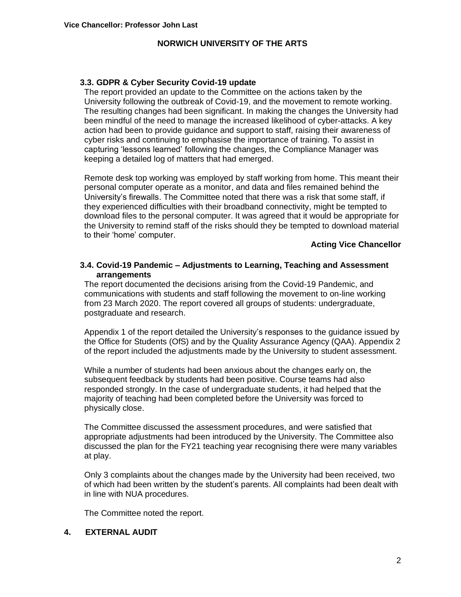### **3.3. GDPR & Cyber Security Covid-19 update**

The report provided an update to the Committee on the actions taken by the University following the outbreak of Covid-19, and the movement to remote working. The resulting changes had been significant. In making the changes the University had been mindful of the need to manage the increased likelihood of cyber-attacks. A key action had been to provide guidance and support to staff, raising their awareness of cyber risks and continuing to emphasise the importance of training. To assist in capturing 'lessons learned' following the changes, the Compliance Manager was keeping a detailed log of matters that had emerged.

Remote desk top working was employed by staff working from home. This meant their personal computer operate as a monitor, and data and files remained behind the University's firewalls. The Committee noted that there was a risk that some staff, if they experienced difficulties with their broadband connectivity, might be tempted to download files to the personal computer. It was agreed that it would be appropriate for the University to remind staff of the risks should they be tempted to download material to their 'home' computer.

#### **Acting Vice Chancellor**

### **3.4. Covid-19 Pandemic – Adjustments to Learning, Teaching and Assessment arrangements**

The report documented the decisions arising from the Covid-19 Pandemic, and communications with students and staff following the movement to on-line working from 23 March 2020. The report covered all groups of students: undergraduate, postgraduate and research.

Appendix 1 of the report detailed the University's responses to the guidance issued by the Office for Students (OfS) and by the Quality Assurance Agency (QAA). Appendix 2 of the report included the adjustments made by the University to student assessment.

While a number of students had been anxious about the changes early on, the subsequent feedback by students had been positive. Course teams had also responded strongly. In the case of undergraduate students, it had helped that the majority of teaching had been completed before the University was forced to physically close.

The Committee discussed the assessment procedures, and were satisfied that appropriate adjustments had been introduced by the University. The Committee also discussed the plan for the FY21 teaching year recognising there were many variables at play.

Only 3 complaints about the changes made by the University had been received, two of which had been written by the student's parents. All complaints had been dealt with in line with NUA procedures.

The Committee noted the report.

# **4. EXTERNAL AUDIT**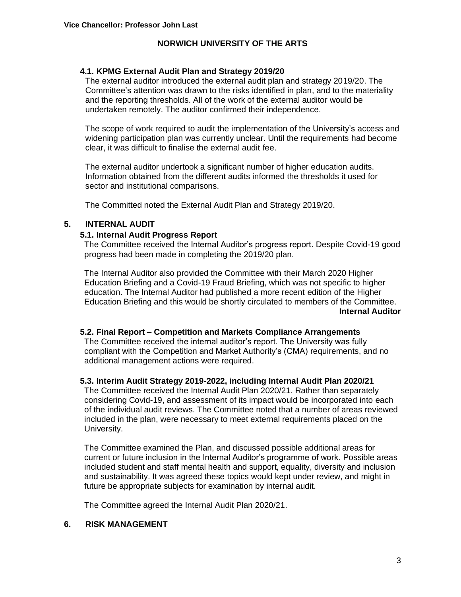### **4.1. KPMG External Audit Plan and Strategy 2019/20**

The external auditor introduced the external audit plan and strategy 2019/20. The Committee's attention was drawn to the risks identified in plan, and to the materiality and the reporting thresholds. All of the work of the external auditor would be undertaken remotely. The auditor confirmed their independence.

The scope of work required to audit the implementation of the University's access and widening participation plan was currently unclear. Until the requirements had become clear, it was difficult to finalise the external audit fee.

The external auditor undertook a significant number of higher education audits. Information obtained from the different audits informed the thresholds it used for sector and institutional comparisons.

The Committed noted the External Audit Plan and Strategy 2019/20.

# **5. INTERNAL AUDIT**

### **5.1. Internal Audit Progress Report**

The Committee received the Internal Auditor's progress report. Despite Covid-19 good progress had been made in completing the 2019/20 plan.

The Internal Auditor also provided the Committee with their March 2020 Higher Education Briefing and a Covid-19 Fraud Briefing, which was not specific to higher education. The Internal Auditor had published a more recent edition of the Higher Education Briefing and this would be shortly circulated to members of the Committee. **Internal Auditor**

# **5.2. Final Report – Competition and Markets Compliance Arrangements**

The Committee received the internal auditor's report. The University was fully compliant with the Competition and Market Authority's (CMA) requirements, and no additional management actions were required.

# **5.3. Interim Audit Strategy 2019-2022, including Internal Audit Plan 2020/21**

The Committee received the Internal Audit Plan 2020/21. Rather than separately considering Covid-19, and assessment of its impact would be incorporated into each of the individual audit reviews. The Committee noted that a number of areas reviewed included in the plan, were necessary to meet external requirements placed on the University.

The Committee examined the Plan, and discussed possible additional areas for current or future inclusion in the Internal Auditor's programme of work. Possible areas included student and staff mental health and support, equality, diversity and inclusion and sustainability. It was agreed these topics would kept under review, and might in future be appropriate subjects for examination by internal audit.

The Committee agreed the Internal Audit Plan 2020/21.

#### **6. RISK MANAGEMENT**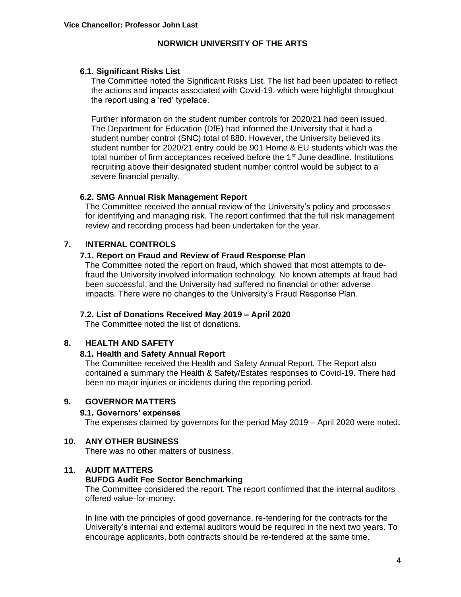### **6.1. Significant Risks List**

The Committee noted the Significant Risks List. The list had been updated to reflect the actions and impacts associated with Covid-19, which were highlight throughout the report using a 'red' typeface.

Further information on the student number controls for 2020/21 had been issued. The Department for Education (DfE) had informed the University that it had a student number control (SNC) total of 880. However, the University believed its student number for 2020/21 entry could be 901 Home & EU students which was the total number of firm acceptances received before the  $1<sup>st</sup>$  June deadline. Institutions recruiting above their designated student number control would be subject to a severe financial penalty.

### **6.2. SMG Annual Risk Management Report**

The Committee received the annual review of the University's policy and processes for identifying and managing risk. The report confirmed that the full risk management review and recording process had been undertaken for the year.

# **7. INTERNAL CONTROLS**

# **7.1. Report on Fraud and Review of Fraud Response Plan**

The Committee noted the report on fraud, which showed that most attempts to defraud the University involved information technology. No known attempts at fraud had been successful, and the University had suffered no financial or other adverse impacts. There were no changes to the University's Fraud Response Plan.

# **7.2. List of Donations Received May 2019 – April 2020**

The Committee noted the list of donations.

# **8. HEALTH AND SAFETY**

#### **8.1. Health and Safety Annual Report**

The Committee received the Health and Safety Annual Report. The Report also contained a summary the Health & Safety/Estates responses to Covid-19. There had been no major injuries or incidents during the reporting period.

### **9. GOVERNOR MATTERS**

### **9.1. Governors' expenses**

The expenses claimed by governors for the period May 2019 – April 2020 were noted**.**

# **10. ANY OTHER BUSINESS**

There was no other matters of business.

#### **11. AUDIT MATTERS**

#### **BUFDG Audit Fee Sector Benchmarking**

The Committee considered the report. The report confirmed that the internal auditors offered value-for-money.

In line with the principles of good governance, re-tendering for the contracts for the University's internal and external auditors would be required in the next two years. To encourage applicants, both contracts should be re-tendered at the same time.